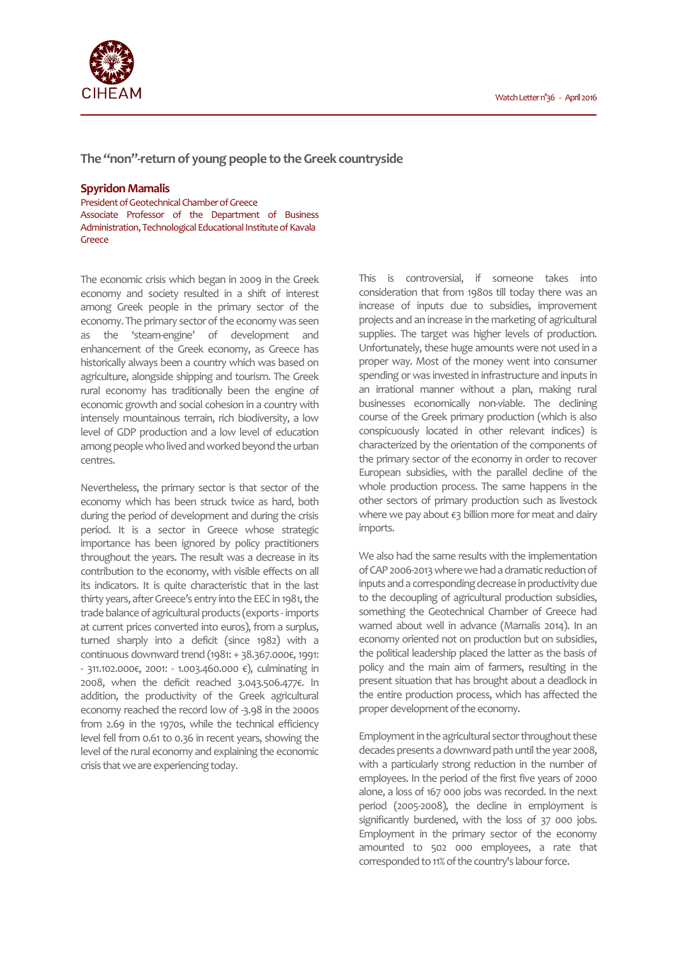

**The "non"-return of young people to the Greek countryside** 

## **Spyridon Mamalis**

President of Geotechnical Chamber of Greece Associate Professor of the Department of Business Administration, Technological Educational Institute of Κavala Greece

The economic crisis which began in 2009 in the Greek economy and society resulted in a shift of interest among Greek people in the primary sector of the economy. The primary sector of the economy was seen as the 'steam-engine' of development and enhancement of the Greek economy, as Greece has historically always been a country which was based on agriculture, alongside shipping and tourism. The Greek rural economy has traditionally been the engine of economic growth and social cohesion in a country with intensely mountainous terrain, rich biodiversity, a low level of GDP production and a low level of education among people who lived and worked beyond the urban centres.

Nevertheless, the primary sector is that sector of the economy which has been struck twice as hard, both during the period of development and during the crisis period. It is a sector in Greece whose strategic importance has been ignored by policy practitioners throughout the years. The result was a decrease in its contribution to the economy, with visible effects on all its indicators. It is quite characteristic that in the last thirty years, after Greece's entry into the EEC in 1981, the trade balance of agricultural products (exports - imports at current prices converted into euros), from a surplus, turned sharply into a deficit (since 1982) with a continuous downward trend (1981: + 38.367.000€, 1991: - 311.102.000€, 2001: - 1.003.460.000 €), culminating in 2008, when the deficit reached 3.043.506.477€. In addition, the productivity of the Greek agricultural economy reached the record low of -3.98 in the 2000s from 2.69 in the 1970s, while the technical efficiency level fell from 0.61 to 0.36 in recent years, showing the level of the rural economy and explaining the economic crisis that we are experiencing today.

This is controversial, if someone takes into consideration that from 1980s till today there was an increase of inputs due to subsidies, improvement projects and an increase in the marketing of agricultural supplies. The target was higher levels of production. Unfortunately, these huge amounts were not used in a proper way. Most of the money went into consumer spending or was invested in infrastructure and inputs in an irrational manner without a plan, making rural businesses economically non-viable. The declining course of the Greek primary production (which is also conspicuously located in other relevant indices) is characterized by the orientation of the components of the primary sector of the economy in order to recover European subsidies, with the parallel decline of the whole production process. The same happens in the other sectors of primary production such as livestock where we pay about €3 billion more for meat and dairy imports.

We also had the same results with the implementation of CAP 2006-2013 where we had a dramatic reduction of inputs and a corresponding decrease in productivity due to the decoupling of agricultural production subsidies, something the Geotechnical Chamber of Greece had warned about well in advance (Mamalis 2014). In an economy oriented not on production but on subsidies, the political leadership placed the latter as the basis of policy and the main aim of farmers, resulting in the present situation that has brought about a deadlock in the entire production process, which has affected the proper development of the economy.

Employment in the agricultural sector throughout these decades presents a downward path until the year 2008, with a particularly strong reduction in the number of employees. In the period of the first five years of 2000 alone, a loss of 167 000 jobs was recorded. In the next period (2005-2008), the decline in employment is significantly burdened, with the loss of 37 000 jobs. Employment in the primary sector of the economy amounted to 502 000 employees, a rate that corresponded to 11% of the country's labour force.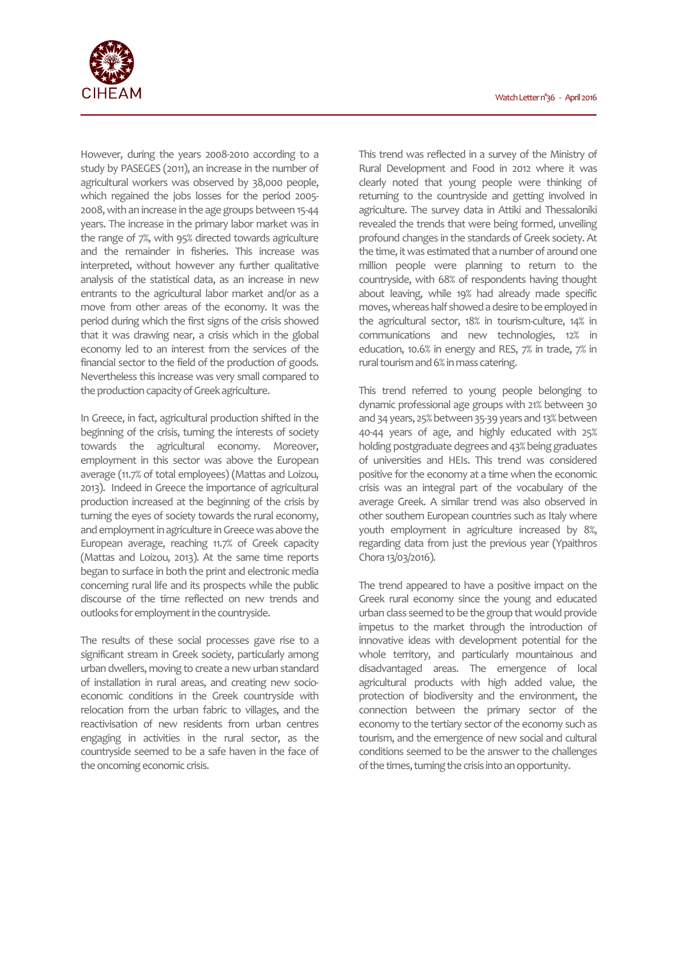

However, during the years 2008-2010 according to a study by PASEGES (2011), an increase in the number of agricultural workers was observed by 38,000 people, which regained the jobs losses for the period 2005- 2008, with an increase in the age groups between 15-44 years. The increase in the primary labor market was in the range of 7%, with 95% directed towards agriculture and the remainder in fisheries. This increase was interpreted, without however any further qualitative analysis of the statistical data, as an increase in new entrants to the agricultural labor market and/or as a move from other areas of the economy. It was the period during which the first signs of the crisis showed that it was drawing near, a crisis which in the global economy led to an interest from the services of the financial sector to the field of the production of goods. Nevertheless this increase was very small compared to the production capacity of Greek agriculture.

In Greece, in fact, agricultural production shifted in the beginning of the crisis, turning the interests of society towards the agricultural economy. Moreover, employment in this sector was above the European average (11.7% of total employees) (Mattas and Loizou, 2013). Indeed in Greece the importance of agricultural production increased at the beginning of the crisis by turning the eyes of society towards the rural economy, and employment in agriculture in Greece was above the European average, reaching 11.7% of Greek capacity (Mattas and Loizou, 2013). At the same time reports began to surface in both the print and electronic media concerning rural life and its prospects while the public discourse of the time reflected on new trends and outlooks for employment in the countryside.

The results of these social processes gave rise to a significant stream in Greek society, particularly among urban dwellers, moving to create a new urban standard of installation in rural areas, and creating new socioeconomic conditions in the Greek countryside with relocation from the urban fabric to villages, and the reactivisation of new residents from urban centres engaging in activities in the rural sector, as the countryside seemed to be a safe haven in the face of the oncoming economic crisis.

This trend was reflected in a survey of the Ministry of Rural Development and Food in 2012 where it was clearly noted that young people were thinking of returning to the countryside and getting involved in agriculture. The survey data in Attiki and Thessaloniki revealed the trends that were being formed, unveiling profound changes in the standards of Greek society. At the time, it was estimated that a number of around one million people were planning to return to the countryside, with 68% of respondents having thought about leaving, while 19% had already made specific moves, whereas half showed a desire to be employed in the agricultural sector, 18% in tourism-culture, 14% in communications and new technologies, 12% in education, 10.6% in energy and RES, 7% in trade, 7% in rural tourism and 6% in mass catering.

This trend referred to young people belonging to dynamic professional age groups with 21% between 30 and 34 years, 25% between 35-39 years and 13% between 40-44 years of age, and highly educated with 25% holding postgraduate degrees and 43% being graduates of universities and HEIs. This trend was considered positive for the economy at a time when the economic crisis was an integral part of the vocabulary of the average Greek. A similar trend was also observed in other southern European countries such as Italy where youth employment in agriculture increased by 8%, regarding data from just the previous year (Ypaithros Chora 13/03/2016).

The trend appeared to have a positive impact on the Greek rural economy since the young and educated urban class seemed to be the group that would provide impetus to the market through the introduction of innovative ideas with development potential for the whole territory, and particularly mountainous and disadvantaged areas. The emergence of local agricultural products with high added value, the protection of biodiversity and the environment, the connection between the primary sector of the economy to the tertiary sector of the economy such as tourism, and the emergence of new social and cultural conditions seemed to be the answer to the challenges of the times, turning the crisis into an opportunity.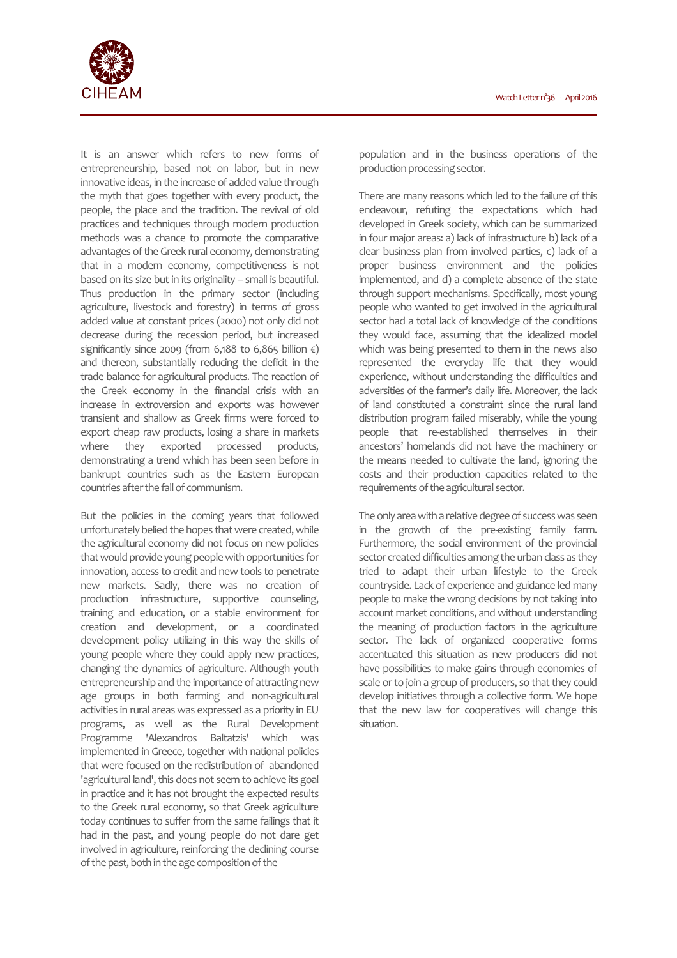

It is an answer which refers to new forms of entrepreneurship, based not on labor, but in new innovative ideas, in the increase of added value through the myth that goes together with every product, the people, the place and the tradition. The revival of old practices and techniques through modern production methods was a chance to promote the comparative advantages of the Greek rural economy, demonstrating that in a modern economy, competitiveness is not based on its size but in its originality – small is beautiful. Thus production in the primary sector (including agriculture, livestock and forestry) in terms of gross added value at constant prices (2000) not only did not decrease during the recession period, but increased significantly since 2009 (from 6,188 to 6,865 billion  $\epsilon$ ) and thereon, substantially reducing the deficit in the trade balance for agricultural products. The reaction of the Greek economy in the financial crisis with an increase in extroversion and exports was however transient and shallow as Greek firms were forced to export cheap raw products, losing a share in markets where they exported processed products, demonstrating a trend which has been seen before in bankrupt countries such as the Eastern European countries after the fall of communism.

But the policies in the coming years that followed unfortunately belied the hopes that were created, while the agricultural economy did not focus on new policies that would provide young people with opportunities for innovation, access to credit and new tools to penetrate new markets. Sadly, there was no creation of production infrastructure, supportive counseling, training and education, or a stable environment for creation and development, or a coordinated development policy utilizing in this way the skills of young people where they could apply new practices, changing the dynamics of agriculture. Although youth entrepreneurship and the importance of attracting new age groups in both farming and non-agricultural activities in rural areas was expressed as a priority in EU programs, as well as the Rural Development Programme 'Alexandros Baltatzis' which was implemented in Greece, together with national policies that were focused on the redistribution of abandoned 'agricultural land', this does not seem to achieve its goal in practice and it has not brought the expected results to the Greek rural economy, so that Greek agriculture today continues to suffer from the same failings that it had in the past, and young people do not dare get involved in agriculture, reinforcing the declining course of the past, both in the age composition of the

population and in the business operations of the production processing sector.

There are many reasons which led to the failure of this endeavour, refuting the expectations which had developed in Greek society, which can be summarized in four major areas: a) lack of infrastructure b) lack of a clear business plan from involved parties, c) lack of a proper business environment and the policies implemented, and d) a complete absence of the state through support mechanisms. Specifically, most young people who wanted to get involved in the agricultural sector had a total lack of knowledge of the conditions they would face, assuming that the idealized model which was being presented to them in the news also represented the everyday life that they would experience, without understanding the difficulties and adversities of the farmer's daily life. Moreover, the lack of land constituted a constraint since the rural land distribution program failed miserably, while the young people that re-established themselves in their ancestors' homelands did not have the machinery or the means needed to cultivate the land, ignoring the costs and their production capacities related to the requirements of the agricultural sector.

The only area with a relative degree of success was seen in the growth of the pre-existing family farm. Furthermore, the social environment of the provincial sector created difficulties among the urban class as they tried to adapt their urban lifestyle to the Greek countryside. Lack of experience and guidance led many people to make the wrong decisions by not taking into account market conditions, and without understanding the meaning of production factors in the agriculture sector. The lack of organized cooperative forms accentuated this situation as new producers did not have possibilities to make gains through economies of scale or to join a group of producers, so that they could develop initiatives through a collective form. We hope that the new law for cooperatives will change this situation.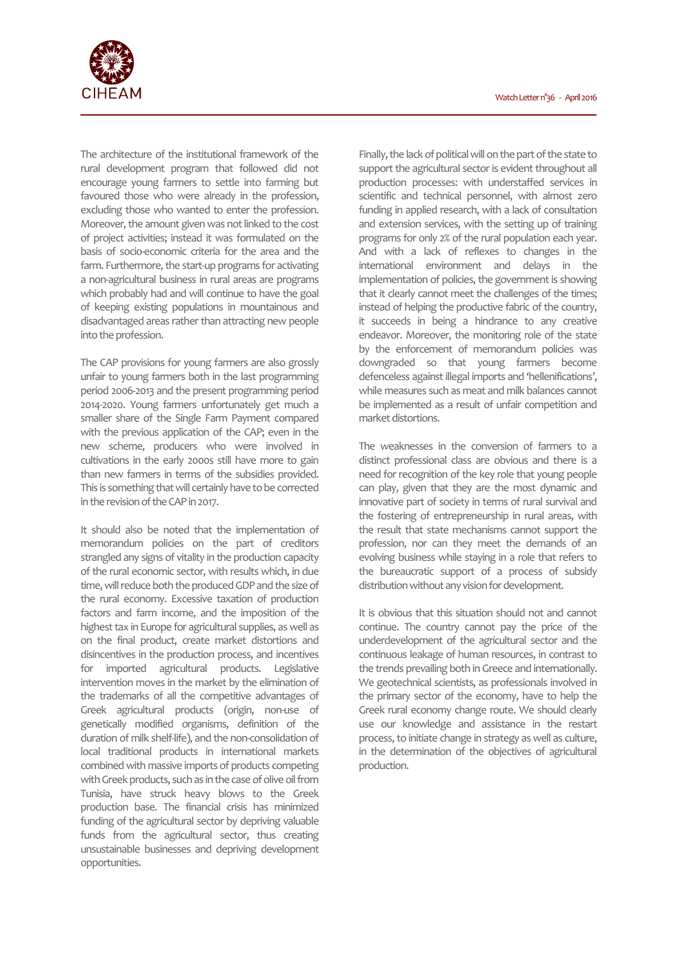

The architecture of the institutional framework of the rural development program that followed did not encourage young farmers to settle into farming but favoured those who were already in the profession, excluding those who wanted to enter the profession. Moreover, the amount given was not linked to the cost of project activities; instead it was formulated on the basis of socio-economic criteria for the area and the farm. Furthermore, the start-up programs for activating a non-agricultural business in rural areas are programs which probably had and will continue to have the goal of keeping existing populations in mountainous and disadvantaged areas rather than attracting new people into the profession.

The CAP provisions for young farmers are also grossly unfair to young farmers both in the last programming period 2006-2013 and the present programming period 2014-2020. Young farmers unfortunately get much a smaller share of the Single Farm Payment compared with the previous application of the CAP; even in the new scheme, producers who were involved in cultivations in the early 2000s still have more to gain than new farmers in terms of the subsidies provided. This is something that will certainly have to be corrected in the revision of the CAP in 2017.

It should also be noted that the implementation of memorandum policies on the part of creditors strangled any signs of vitality in the production capacity of the rural economic sector, with results which, in due time, will reduce both the produced GDP and the size of the rural economy. Excessive taxation of production factors and farm income, and the imposition of the highest tax in Europe for agricultural supplies, as well as on the final product, create market distortions and disincentives in the production process, and incentives for imported agricultural products. Legislative intervention moves in the market by the elimination of the trademarks of all the competitive advantages of Greek agricultural products (origin, non-use of genetically modified organisms, definition of the duration of milk shelf-life), and the non-consolidation of local traditional products in international markets combined with massive imports of products competing with Greek products, such as in the case of olive oil from Tunisia, have struck heavy blows to the Greek production base. The financial crisis has minimized funding of the agricultural sector by depriving valuable funds from the agricultural sector, thus creating unsustainable businesses and depriving development opportunities.

Finally, the lack of political will on the part of the state to support the agricultural sector is evident throughout all production processes: with understaffed services in scientific and technical personnel, with almost zero funding in applied research, with a lack of consultation and extension services, with the setting up of training programs for only 2% of the rural population each year. And with a lack of reflexes to changes in the international environment and delays in the implementation of policies, the government is showing that it clearly cannot meet the challenges of the times; instead of helping the productive fabric of the country, it succeeds in being a hindrance to any creative endeavor. Moreover, the monitoring role of the state by the enforcement of memorandum policies was downgraded so that young farmers become defenceless against illegal imports and 'hellenifications', while measures such as meat and milk balances cannot be implemented as a result of unfair competition and market distortions.

The weaknesses in the conversion of farmers to a distinct professional class are obvious and there is a need for recognition of the key role that young people can play, given that they are the most dynamic and innovative part of society in terms of rural survival and the fostering of entrepreneurship in rural areas, with the result that state mechanisms cannot support the profession, nor can they meet the demands of an evolving business while staying in a role that refers to the bureaucratic support of a process of subsidy distribution without any vision for development.

It is obvious that this situation should not and cannot continue. The country cannot pay the price of the underdevelopment of the agricultural sector and the continuous leakage of human resources, in contrast to the trends prevailing both in Greece and internationally. We geotechnical scientists, as professionals involved in the primary sector of the economy, have to help the Greek rural economy change route. We should clearly use our knowledge and assistance in the restart process, to initiate change in strategy as well as culture, in the determination of the objectives of agricultural production.